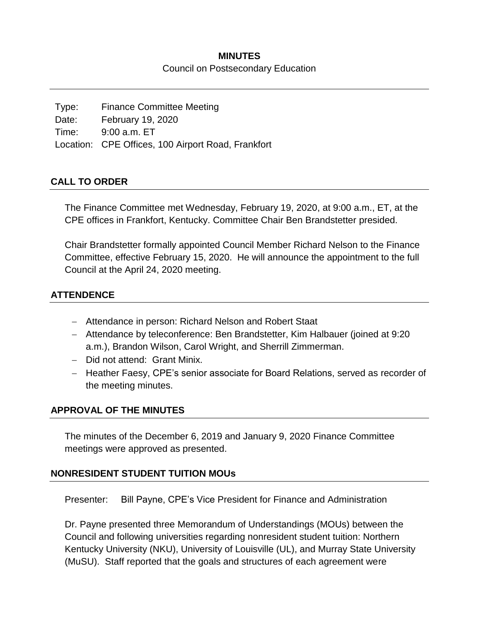### **MINUTES** Council on Postsecondary Education

Type: Finance Committee Meeting Date: February 19, 2020 Time: 9:00 a.m. ET Location: CPE Offices, 100 Airport Road, Frankfort

### **CALL TO ORDER**

The Finance Committee met Wednesday, February 19, 2020, at 9:00 a.m., ET, at the CPE offices in Frankfort, Kentucky. Committee Chair Ben Brandstetter presided.

Chair Brandstetter formally appointed Council Member Richard Nelson to the Finance Committee, effective February 15, 2020. He will announce the appointment to the full Council at the April 24, 2020 meeting.

### **ATTENDENCE**

- Attendance in person: Richard Nelson and Robert Staat
- Attendance by teleconference: Ben Brandstetter, Kim Halbauer (joined at 9:20 a.m.), Brandon Wilson, Carol Wright, and Sherrill Zimmerman.
- Did not attend: Grant Minix.
- Heather Faesy, CPE's senior associate for Board Relations, served as recorder of the meeting minutes.

### **APPROVAL OF THE MINUTES**

The minutes of the December 6, 2019 and January 9, 2020 Finance Committee meetings were approved as presented.

### **NONRESIDENT STUDENT TUITION MOUs**

Presenter: Bill Payne, CPE's Vice President for Finance and Administration

Dr. Payne presented three Memorandum of Understandings (MOUs) between the Council and following universities regarding nonresident student tuition: Northern Kentucky University (NKU), University of Louisville (UL), and Murray State University (MuSU). Staff reported that the goals and structures of each agreement were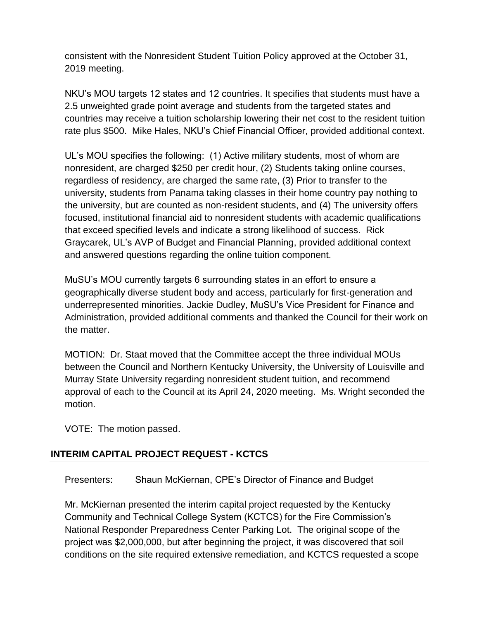consistent with the Nonresident Student Tuition Policy approved at the October 31, 2019 meeting.

NKU's MOU targets 12 states and 12 countries. It specifies that students must have a 2.5 unweighted grade point average and students from the targeted states and countries may receive a tuition scholarship lowering their net cost to the resident tuition rate plus \$500. Mike Hales, NKU's Chief Financial Officer, provided additional context.

UL's MOU specifies the following: (1) Active military students, most of whom are nonresident, are charged \$250 per credit hour, (2) Students taking online courses, regardless of residency, are charged the same rate, (3) Prior to transfer to the university, students from Panama taking classes in their home country pay nothing to the university, but are counted as non-resident students, and (4) The university offers focused, institutional financial aid to nonresident students with academic qualifications that exceed specified levels and indicate a strong likelihood of success. Rick Graycarek, UL's AVP of Budget and Financial Planning, provided additional context and answered questions regarding the online tuition component.

MuSU's MOU currently targets 6 surrounding states in an effort to ensure a geographically diverse student body and access, particularly for first-generation and underrepresented minorities. Jackie Dudley, MuSU's Vice President for Finance and Administration, provided additional comments and thanked the Council for their work on the matter.

MOTION: Dr. Staat moved that the Committee accept the three individual MOUs between the Council and Northern Kentucky University, the University of Louisville and Murray State University regarding nonresident student tuition, and recommend approval of each to the Council at its April 24, 2020 meeting. Ms. Wright seconded the motion.

VOTE: The motion passed.

# **INTERIM CAPITAL PROJECT REQUEST - KCTCS**

Presenters: Shaun McKiernan, CPE's Director of Finance and Budget

Mr. McKiernan presented the interim capital project requested by the Kentucky Community and Technical College System (KCTCS) for the Fire Commission's National Responder Preparedness Center Parking Lot. The original scope of the project was \$2,000,000, but after beginning the project, it was discovered that soil conditions on the site required extensive remediation, and KCTCS requested a scope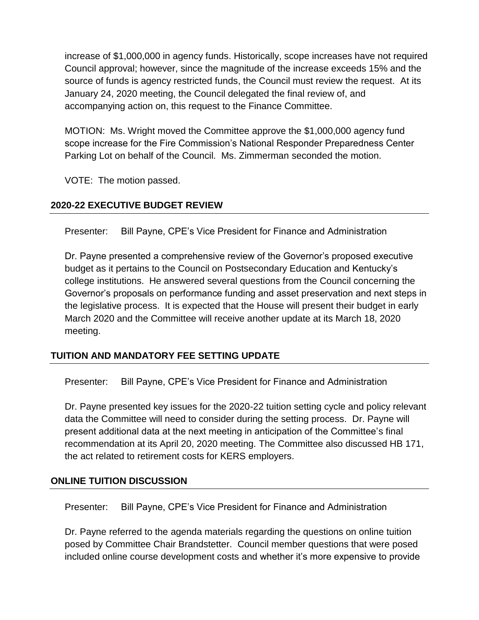increase of \$1,000,000 in agency funds. Historically, scope increases have not required Council approval; however, since the magnitude of the increase exceeds 15% and the source of funds is agency restricted funds, the Council must review the request. At its January 24, 2020 meeting, the Council delegated the final review of, and accompanying action on, this request to the Finance Committee.

MOTION: Ms. Wright moved the Committee approve the \$1,000,000 agency fund scope increase for the Fire Commission's National Responder Preparedness Center Parking Lot on behalf of the Council. Ms. Zimmerman seconded the motion.

VOTE: The motion passed.

# **2020-22 EXECUTIVE BUDGET REVIEW**

Presenter: Bill Payne, CPE's Vice President for Finance and Administration

Dr. Payne presented a comprehensive review of the Governor's proposed executive budget as it pertains to the Council on Postsecondary Education and Kentucky's college institutions. He answered several questions from the Council concerning the Governor's proposals on performance funding and asset preservation and next steps in the legislative process. It is expected that the House will present their budget in early March 2020 and the Committee will receive another update at its March 18, 2020 meeting.

# **TUITION AND MANDATORY FEE SETTING UPDATE**

Presenter: Bill Payne, CPE's Vice President for Finance and Administration

Dr. Payne presented key issues for the 2020-22 tuition setting cycle and policy relevant data the Committee will need to consider during the setting process. Dr. Payne will present additional data at the next meeting in anticipation of the Committee's final recommendation at its April 20, 2020 meeting. The Committee also discussed HB 171, the act related to retirement costs for KERS employers.

# **ONLINE TUITION DISCUSSION**

Presenter: Bill Payne, CPE's Vice President for Finance and Administration

Dr. Payne referred to the agenda materials regarding the questions on online tuition posed by Committee Chair Brandstetter. Council member questions that were posed included online course development costs and whether it's more expensive to provide